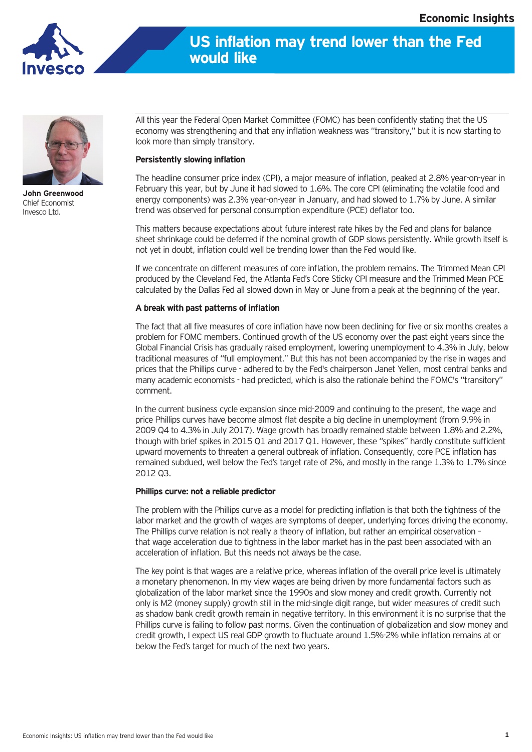



**John Greenwood** Chief Economist Invesco Ltd.

All this year the Federal Open Market Committee (FOMC) has been confidently stating that the US economy was strengthening and that any inflation weakness was "transitory," but it is now starting to look more than simply transitory.

## **Persistently slowing inflation**

The headline consumer price index (CPI), a major measure of inflation, peaked at 2.8% year-on-year in February this year, but by June it had slowed to 1.6%. The core CPI (eliminating the volatile food and energy components) was 2.3% year-on-year in January, and had slowed to 1.7% by June. A similar trend was observed for personal consumption expenditure (PCE) deflator too.

This matters because expectations about future interest rate hikes by the Fed and plans for balance sheet shrinkage could be deferred if the nominal growth of GDP slows persistently. While growth itself is not yet in doubt, inflation could well be trending lower than the Fed would like.

If we concentrate on different measures of core inflation, the problem remains. The Trimmed Mean CPI produced by the Cleveland Fed, the Atlanta Fed's Core Sticky CPI measure and the Trimmed Mean PCE calculated by the Dallas Fed all slowed down in May or June from a peak at the beginning of the year.

## **A break with past patterns of inflation**

The fact that all five measures of core inflation have now been declining for five or six months creates a problem for FOMC members. Continued growth of the US economy over the past eight years since the Global Financial Crisis has gradually raised employment, lowering unemployment to 4.3% in July, below traditional measures of "full employment." But this has not been accompanied by the rise in wages and prices that the Phillips curve - adhered to by the Fed's chairperson Janet Yellen, most central banks and many academic economists - had predicted, which is also the rationale behind the FOMC's "transitory" comment.

In the current business cycle expansion since mid-2009 and continuing to the present, the wage and price Phillips curves have become almost flat despite a big decline in unemployment (from 9.9% in 2009 Q4 to 4.3% in July 2017). Wage growth has broadly remained stable between 1.8% and 2.2%, though with brief spikes in 2015 Q1 and 2017 Q1. However, these "spikes" hardly constitute sufficient upward movements to threaten a general outbreak of inflation. Consequently, core PCE inflation has remained subdued, well below the Fed's target rate of 2%, and mostly in the range 1.3% to 1.7% since 2012 Q3.

## **Phillips curve: not a reliable predictor**

The problem with the Phillips curve as a model for predicting inflation is that both the tightness of the labor market and the growth of wages are symptoms of deeper, underlying forces driving the economy. The Phillips curve relation is not really a theory of inflation, but rather an empirical observation – that wage acceleration due to tightness in the labor market has in the past been associated with an acceleration of inflation. But this needs not always be the case.

The key point is that wages are a relative price, whereas inflation of the overall price level is ultimately a monetary phenomenon. In my view wages are being driven by more fundamental factors such as globalization of the labor market since the 1990s and slow money and credit growth. Currently not only is M2 (money supply) growth still in the mid-single digit range, but wider measures of credit such as shadow bank credit growth remain in negative territory. In this environment it is no surprise that the Phillips curve is failing to follow past norms. Given the continuation of globalization and slow money and credit growth, I expect US real GDP growth to fluctuate around 1.5%-2% while inflation remains at or below the Fed's target for much of the next two years.